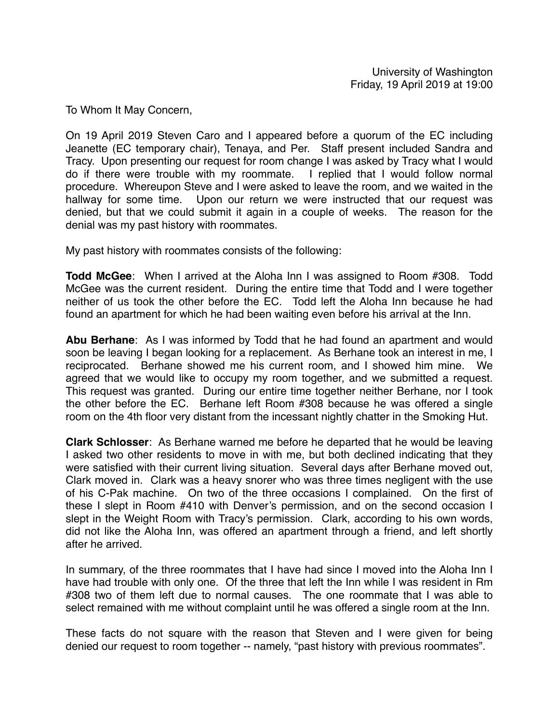To Whom It May Concern,

On 19 April 2019 Steven Caro and I appeared before a quorum of the EC including Jeanette (EC temporary chair), Tenaya, and Per. Staff present included Sandra and Tracy. Upon presenting our request for room change I was asked by Tracy what I would do if there were trouble with my roommate. I replied that I would follow normal procedure. Whereupon Steve and I were asked to leave the room, and we waited in the hallway for some time. Upon our return we were instructed that our request was denied, but that we could submit it again in a couple of weeks. The reason for the denial was my past history with roommates.

My past history with roommates consists of the following:

**Todd McGee**: When I arrived at the Aloha Inn I was assigned to Room #308. Todd McGee was the current resident. During the entire time that Todd and I were together neither of us took the other before the EC. Todd left the Aloha Inn because he had found an apartment for which he had been waiting even before his arrival at the Inn.

**Abu Berhane**: As I was informed by Todd that he had found an apartment and would soon be leaving I began looking for a replacement. As Berhane took an interest in me, I reciprocated. Berhane showed me his current room, and I showed him mine. We agreed that we would like to occupy my room together, and we submitted a request. This request was granted. During our entire time together neither Berhane, nor I took the other before the EC. Berhane left Room #308 because he was offered a single room on the 4th floor very distant from the incessant nightly chatter in the Smoking Hut.

**Clark Schlosser**: As Berhane warned me before he departed that he would be leaving I asked two other residents to move in with me, but both declined indicating that they were satisfied with their current living situation. Several days after Berhane moved out, Clark moved in. Clark was a heavy snorer who was three times negligent with the use of his C-Pak machine. On two of the three occasions I complained. On the first of these I slept in Room #410 with Denver's permission, and on the second occasion I slept in the Weight Room with Tracy's permission. Clark, according to his own words, did not like the Aloha Inn, was offered an apartment through a friend, and left shortly after he arrived.

In summary, of the three roommates that I have had since I moved into the Aloha Inn I have had trouble with only one. Of the three that left the Inn while I was resident in Rm #308 two of them left due to normal causes. The one roommate that I was able to select remained with me without complaint until he was offered a single room at the Inn.

These facts do not square with the reason that Steven and I were given for being denied our request to room together -- namely, "past history with previous roommates".